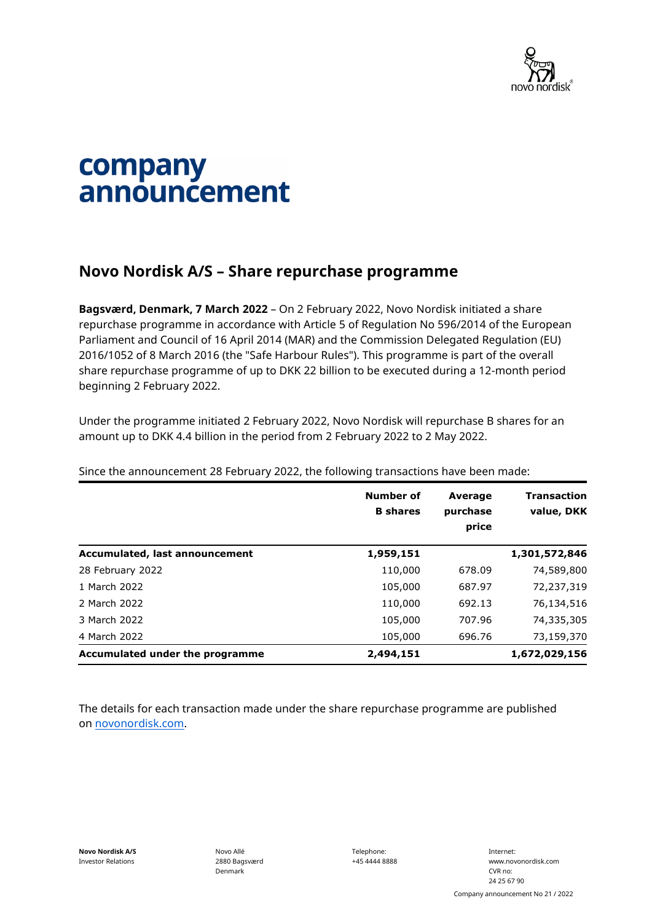

## company announcement

## **Novo Nordisk A/S – Share repurchase programme**

**Bagsværd, Denmark, 7 March 2022** – On 2 February 2022, Novo Nordisk initiated a share repurchase programme in accordance with Article 5 of Regulation No 596/2014 of the European Parliament and Council of 16 April 2014 (MAR) and the Commission Delegated Regulation (EU) 2016/1052 of 8 March 2016 (the "Safe Harbour Rules"). This programme is part of the overall share repurchase programme of up to DKK 22 billion to be executed during a 12-month period beginning 2 February 2022.

Under the programme initiated 2 February 2022, Novo Nordisk will repurchase B shares for an amount up to DKK 4.4 billion in the period from 2 February 2022 to 2 May 2022.

|                                 | Number of<br><b>B</b> shares | <b>Average</b><br>purchase<br>price | <b>Transaction</b><br>value, DKK |
|---------------------------------|------------------------------|-------------------------------------|----------------------------------|
| Accumulated, last announcement  | 1,959,151                    |                                     | 1,301,572,846                    |
| 28 February 2022                | 110,000                      | 678.09                              | 74,589,800                       |
| 1 March 2022                    | 105,000                      | 687.97                              | 72,237,319                       |
| 2 March 2022                    | 110,000                      | 692.13                              | 76,134,516                       |
| 3 March 2022                    | 105,000                      | 707.96                              | 74,335,305                       |
| 4 March 2022                    | 105,000                      | 696.76                              | 73,159,370                       |
| Accumulated under the programme | 2,494,151                    |                                     | 1,672,029,156                    |

Since the announcement 28 February 2022, the following transactions have been made:

The details for each transaction made under the share repurchase programme are published on [novonordisk.com.](https://www.novonordisk.com/news-and-media/news-and-ir-materials.html)

Telephone: +45 4444 8888